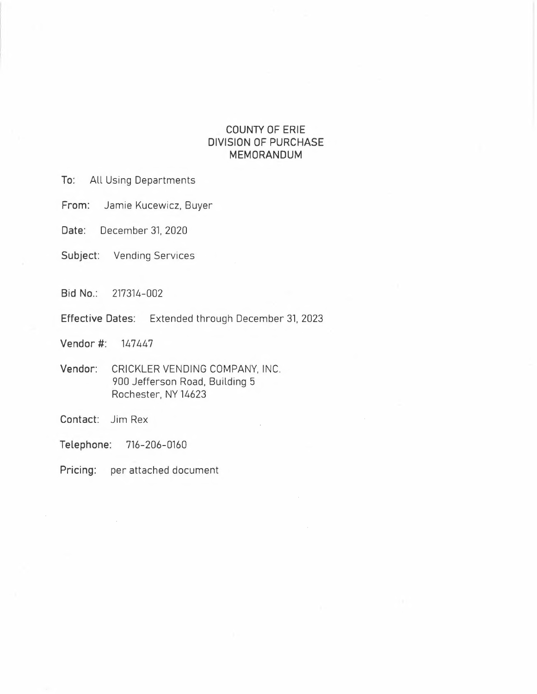### **COUNTY OF ERIE DIVISION OF PURCHASE MEMORANDUM**

**To:** All Using Departments

**From:** Jamie Kucewicz, Buyer

**Date:** December 31, 2020

**Subject:** Vending Services

**Bid No.:** 217314-002

**Effective Dates:** Extended through December 31, 2023

**Vendor#:** <sup>147447</sup>

**Vendor:** CRICKLER VENDING COMPANY, INC. 900 Jefferson Road, Building 5 Rochester, NY 14623

**Contact:** Jim Rex

Telephone: 716-206-0160

Pricing: per attached document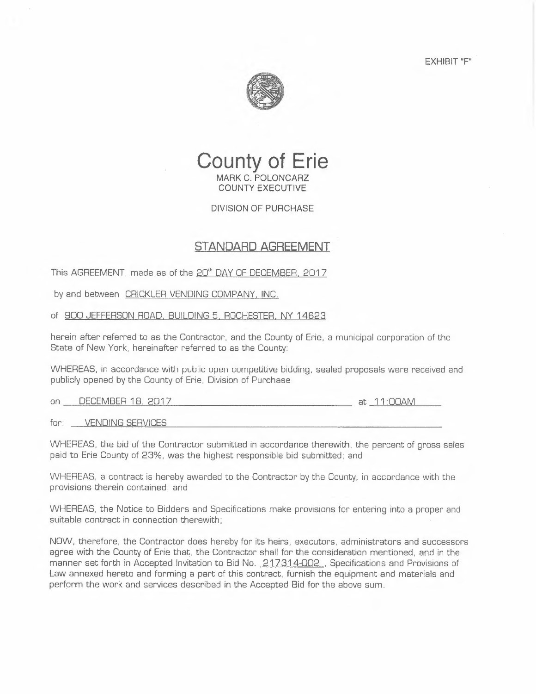EXHIBIT "F"



**County of Erie**  MARK C. POLONCARZ COUNTY EXECUTIVE

DIVISION OF PURCHASE

### **STANDARD AGREEMENT**

This AGREEMENT, made as of the 20<sup>th</sup> DAY OF DECEMBER, 2017

by and between CRICKLER VENDING COMPANY, INC.

#### of 900 JEFFERSON ROAD, BUILDING 5, ROCHESTER, NY 14623

herein after referred to as the Contractor, and the County of Erie, a municipal corporation of the State of New York, hereinafter referred to as the County:

WHEREAS, in accordance with public open competitive bidding, sealed proposals were received and publicly opened by the County of Erie, Division of Purchase

on\_~D=E=C=E~M=B=E~R~1~B~-~2=0~1~7 \_ at 11 :ODAM

for: VENDING SERVICES

WHEREAS, the bid of the Contractor submitted in accordance therewith, the percent of gross sales paid to Erie County of 23%, was the highest responsible bid submitted; and

WHEREAS, a contract is hereby awarded to the Contractor by the County, in accordance with the provisions therein contained; and

WHEREAS, the Notice to Bidders and Specifications make provisions for entering into a proper and suitable contract in connection therewith;

NOW, therefore, the Contractor does hereby for its heirs, executors, administrators and successors agree with the County of Erie that, the Contractor shall for the consideration mentioned, and in the manner set forth in Accepted Invitation to Bid No. 217314-002 , Specifications and Provisions of Law annexed hereto and forming a part of this contract, furnish the equipment and materials and perform the work and services described in the Accepted Bid for the above sum.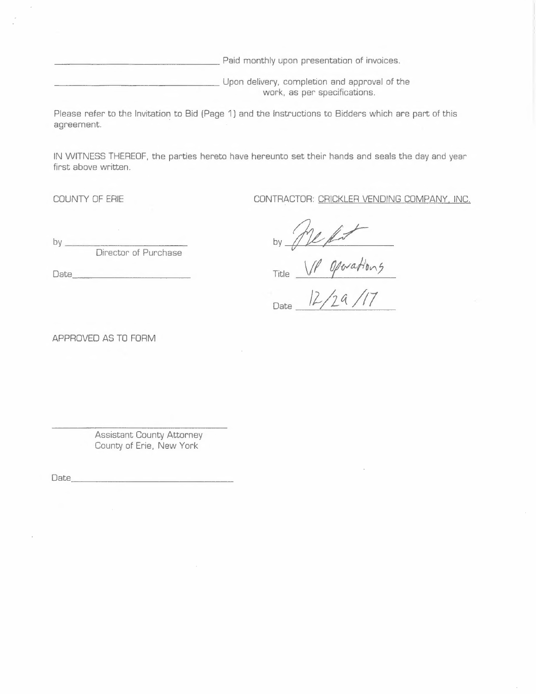Paid monthly upon presentation of invoices.

**Lace Lupon delivery, completion and approval of the** work, as per specifications.

Please refer to the Invitation to Bid (Page 1) and the Instructions to Bidders which are part of this agreement.

IN WITNESS THEREOF, the parties hereto have hereunto set their hands and seals the day and year first above written.

COUNTY OF ERIE CONTRACTOR: CRICKLER VENDING COMPANY, INC.

by  $\mathbf{b}$ Director of Purchase

Date \_ Title

APPROVED AS TO FORM

anto set their hands and seals the day art<br> **FIFACTOR:** CRICKLER VENDING COMPAN<br>
by *MC*/<sup>*G*/</sup>*W*<br>
Title

Date <u>12/2a /17</u>

Assistant County Attorney

Date \_

County of Erie, New York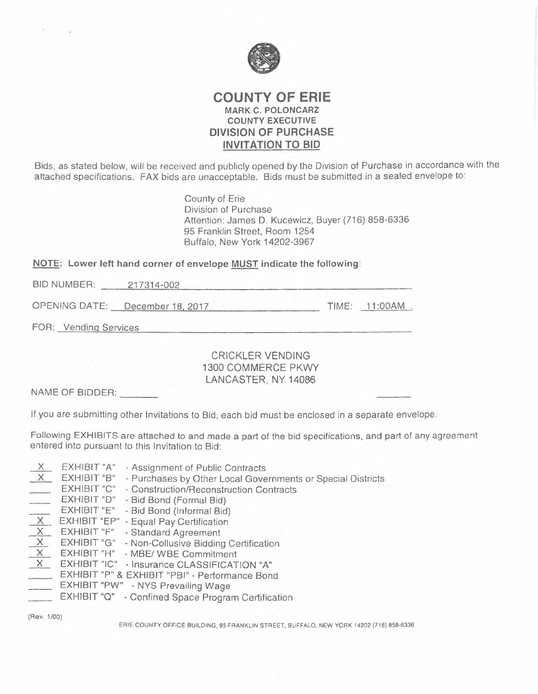

#### **COUNTY OF ERIE MARK C. POLONCARZ COUNTY EXECUTIVE DIVISION OF PURCHASE INVITATION TO BID**

Bids, as stated below, will be received and publicly opened by the Division of Purchase in accordance with the attached specifications. FAX bids are unacceptable. Bids must be submitted in a sealed envelope to:

> County of Erie Division of Purchase Attention: James D. Kucewicz, Buyer (716) 858-6336 95 Franklin Street, Room 1254 Buffalo, New York 14202-3967

#### **NOTE: Lower left hand corner of envelope MUST indicate the following:**

BID NUMBER: 217314-002

OPENING DATE: December 18, 2017 TIME: 11:00AM.

FOR: Vending Services

CRICKLER VENDING 1300 COMMERCE PKWY LANCASTER, NY 14086

NAME OF BIDDER: \_

If you are submitting other Invitations to Bid, each bid must be enclosed in a separate envelope.

Following EXHIBITS are attached to and made a part of the bid specifications, and part of any agreement entered into pursuant to this Invitation to Bid:

- X EXHIBIT "A" Assignment of Public Contracts *\_L* EXHIBIT "B" - Purchases by Other Local Governments or Special Districts EXHIBIT "C" - Construction/Reconstruction Contracts EXHIBIT "D" - Bid Bond (Formal Bid) EXHIBIT "E" - Bid Bond (Informal Bid) EXHIBIT "D" - Bid Bond (Formal Bid)<br>
EXHIBIT "E" - Bid Bond (Informal Bid)<br>
<u>X</u><br>
EXHIBIT "F" - Standard Agreement<br>
<u>X</u><br>
EXHIBIT "G" - Non-Collusive Bidding (<br>
<u>X</u><br>
EXHIBIT "H" - MBE/ WBE Commitment<br>
X<br>
EXHIBIT "IC" - Insur EXHIBIT "F" - Standard Agreement
	- **EXHIBIT "G"** Non-Collusive Bidding Certification
	- **EXHIBIT "H" MBE/ WBE Commitment**
	- **EXHIBIT "IC"** Insurance CLASSIFICATION "A"
	- EXHIBIT "P" & EXHIBIT "PBI" Performance Bond
	- EXHIBIT "PW" NYS Prevailing Wage
	- EXHIBIT "Q" Confined Space Program Certification

(Rev. 1/00)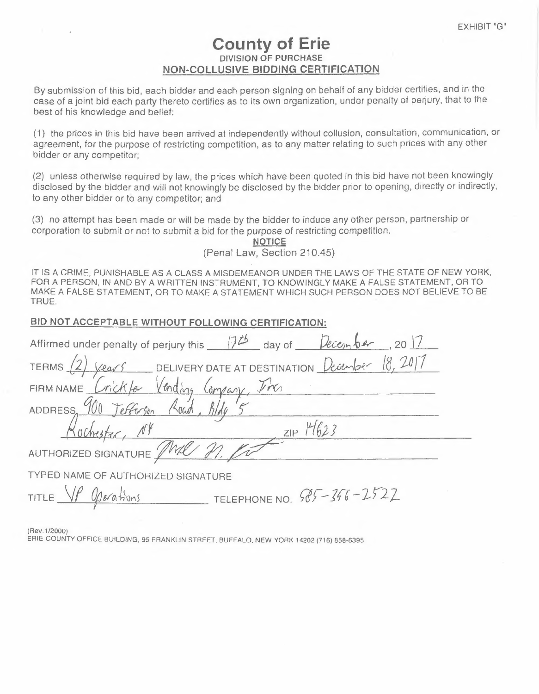## **County of Erie DIVISION OF PURCHASE NON-COLLUSIVE BIDDING CERTIFICATION**

By submission of this bid, each bidder and each person signing on behalf of any bidder certifies, and in the case of a joint bid each party thereto certifies as to its own organization, under penalty of perjury, that to the best of his knowledge and belief:

(1) the prices in this bid have been arrived at independently without collusion, consultation, communication, or agreement, for the purpose of restricting competition, as to any matter relating to such prices with any other bidder or any competitor;

(2) unless otherwise required by law, the prices which have been quoted in this bid have not been knowingly disclosed by the bidder and will not knowingly be disclosed by the bidder prior to opening, directly or indirectly, to any other bidder or to any competitor; and

(3) no attempt has been made or will be made by the bidder to induce any other person, partnership or corporation to submit or not to submit a bid for the purpose of restricting competition.

**NOTICE** 

(Penal Law, Section 210.45)

IT IS A CRIME, PUNISHABLE AS A CLASS A MISDEMEANOR UNDER THE LAWS OF THE STATE OF NEW YORK, FOR A PERSON, IN AND BY A WRITTEN INSTRUMENT, TO KNOWINGLY MAKE A FALSE STATEMENT, OR TO MAKE A FALSE STATEMENT, OR TO MAKE **A** STATEMENT WHICH SUCH PERSON DOES NOT BELIEVE TO BE TRUE.

#### **BID NOT ACCEPTABLE WITHOUT FOLLOWING CERTIFICATION:**

(Rev.1/2000)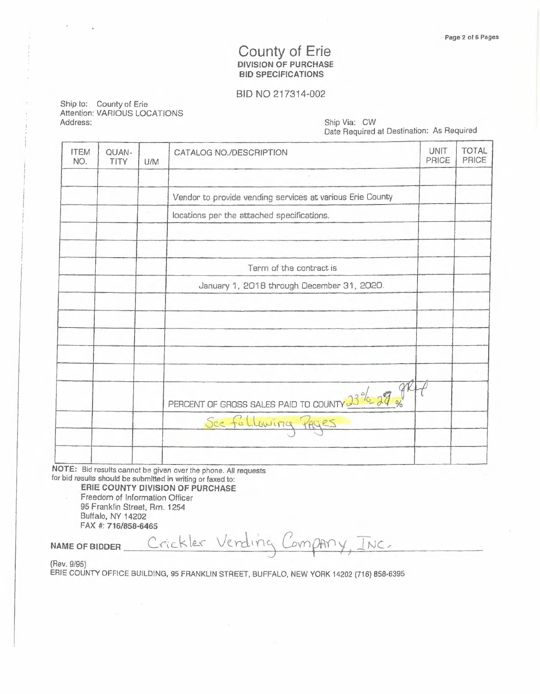### **County of Erie DIVISION OF PURCHASE BID SPECIFICATIONS**

#### **BID NO** 217314-002

Ship to: County of Erie Attention: VARIOUS LOCATIONS<br>Address:

Ship Via: CW Date Required at Destination: As Required

| <b>ITEM</b><br>NO. | QUAN-<br><b>TITY</b> | U/M | CATALOG NO./DESCRIPTION                                   | <b>UNIT</b><br><b>PRICE</b> | <b>TOTAL</b><br>PRICE |
|--------------------|----------------------|-----|-----------------------------------------------------------|-----------------------------|-----------------------|
|                    |                      |     |                                                           |                             |                       |
|                    |                      |     | Vendor to provide vending services at various Erie County |                             |                       |
|                    |                      |     | locations per the attached specifications.                |                             |                       |
|                    |                      |     |                                                           |                             |                       |
|                    |                      |     | Term of the contract is                                   |                             |                       |
|                    |                      |     | January 1, 2018 through December 31, 2020.                |                             |                       |
|                    |                      |     |                                                           |                             |                       |
|                    |                      |     |                                                           |                             |                       |
|                    |                      |     |                                                           |                             |                       |
|                    |                      |     |                                                           |                             |                       |
|                    |                      |     | PERCENT OF GROSS SALES PAID TO COUNTY 3 <sup>3%</sup> 27% |                             |                       |
|                    |                      |     | See following PAGES                                       |                             |                       |
|                    |                      |     |                                                           |                             |                       |
| A 255 YEAR AND     |                      |     |                                                           |                             |                       |

**NOTE:** Bid results cannai be given over the phone. All requests for bid results should be submitted in writing or faxed to:

**.ERIE COUNTY DIVISION OF PURCHASE**  Freedom of Information Officer 95 Franklin Street, Rm. 1254

 $\mathcal{A}$ 

Buttalo, NY 14202

FAX#: **716/858-6465** 

NAME OF BIDDER Crickler Vending Company, INC.

(Rev. 9/95)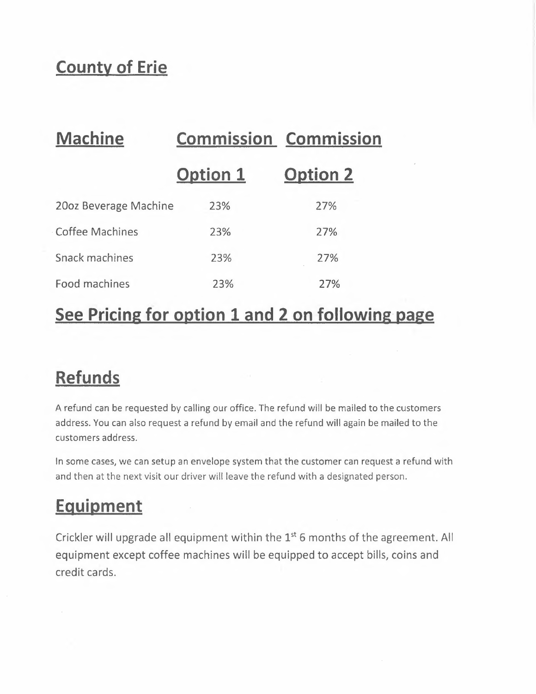## **County of Erie**

| <b>Machine</b>         | <b>Commission Commission</b> |                 |  |
|------------------------|------------------------------|-----------------|--|
|                        | <b>Option 1</b>              | <b>Option 2</b> |  |
| 20oz Beverage Machine  | 23%                          | 27%             |  |
| <b>Coffee Machines</b> | 23%                          | 27%             |  |
| Snack machines         | 23%                          | 27%             |  |
| Food machines          | 23%                          | 27%             |  |

## **See Pricing for option 1 and 2 on following page**

## **Refunds**

A refund can be requested by calling our office. The refund will be mailed to the customers address. You can also request a refund by email and the refund will again be mailed to the customers address.

In some cases, we can setup an envelope system that the customer can request a refund with and then at the next visit our driver will leave the refund with a designated person.

## **Equipment**

Crickler will upgrade all equipment within the  $1<sup>st</sup>$  6 months of the agreement. All equipment except coffee machines will be equipped to accept bills, coins and credit cards.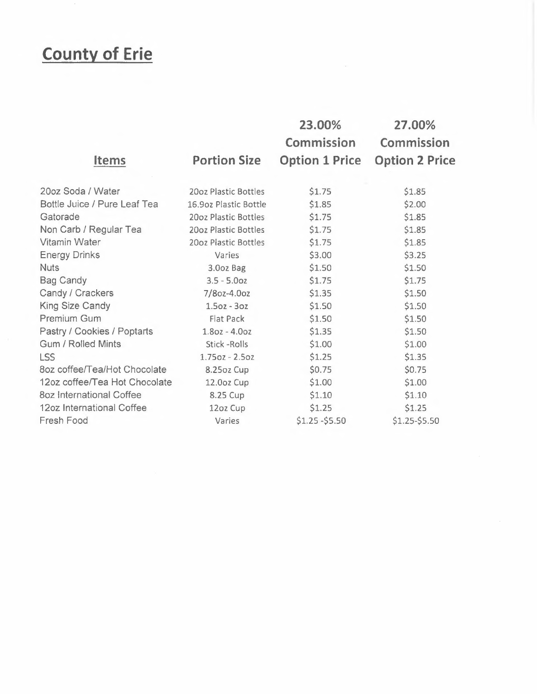# **County of Erie**

|                                 | <b>Portion Size</b>   | 23.00%<br><b>Commission</b> | 27.00%<br><b>Commission</b> |
|---------------------------------|-----------------------|-----------------------------|-----------------------------|
| <b>Items</b>                    |                       | <b>Option 1 Price</b>       | <b>Option 2 Price</b>       |
| 20oz Soda / Water               | 20oz Plastic Bottles  | \$1.75                      | \$1.85                      |
| Bottle Juice / Pure Leaf Tea    | 16.9oz Plastic Bottle | \$1.85                      | \$2.00                      |
| Gatorade                        | 20oz Plastic Bottles  | \$1.75                      | \$1.85                      |
| Non Carb / Regular Tea          | 20oz Plastic Bottles  | \$1.75                      | \$1.85                      |
| Vitamin Water                   | 20oz Plastic Bottles  | \$1.75                      | \$1.85                      |
| <b>Energy Drinks</b>            | Varies                | \$3.00                      | \$3.25                      |
| <b>Nuts</b>                     | 3.0oz Bag             | \$1.50                      | \$1.50                      |
| <b>Bag Candy</b>                | $3.5 - 5.002$         | \$1.75                      | \$1.75                      |
| Candy / Crackers                | 7/80z-4.00z           | \$1.35                      | \$1.50                      |
| <b>King Size Candy</b>          | $1.5oz - 3oz$         | \$1.50                      | \$1.50                      |
| Premium Gum                     | <b>Flat Pack</b>      | \$1.50                      | \$1.50                      |
| Pastry / Cookies / Poptarts     | $1.802 - 4.002$       | \$1.35                      | \$1.50                      |
| <b>Gum / Rolled Mints</b>       | Stick - Rolls         | \$1.00                      | \$1.00                      |
| <b>LSS</b>                      | $1.750z - 2.50z$      | \$1.25                      | \$1.35                      |
| 8oz coffee/Tea/Hot Chocolate    | 8.25oz Cup            | \$0.75                      | \$0.75                      |
| 12oz coffee/Tea Hot Chocolate   | 12.0oz Cup            | \$1.00                      | \$1.00                      |
| <b>8oz International Coffee</b> | 8.25 Cup              | \$1.10                      | \$1.10                      |
| 12oz International Coffee       | 12oz Cup              | \$1.25                      | \$1.25                      |
| Fresh Food                      | Varies                | $$1.25 - $5.50$             | \$1.25-\$5.50               |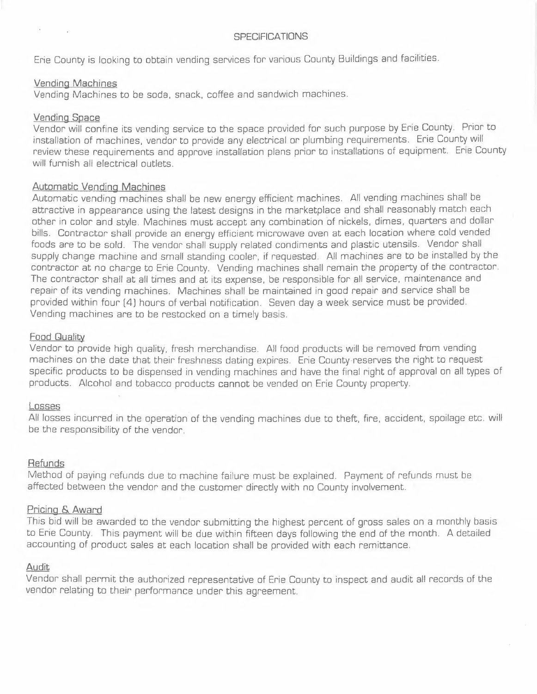#### **SPECIFICATIONS**

Erie County is looking to obtain vending services for various County Buildings and facilities.

#### **Vending Machines**

Vending Machines to be soda, snack, coffee and sandwich machines.

#### **Vending Space**

 $\mathcal{F}^{\mathcal{G}}_{\mathcal{G}}$  and  $\mathcal{F}^{\mathcal{G}}_{\mathcal{G}}$  and  $\mathcal{F}^{\mathcal{G}}_{\mathcal{G}}$ 

Vendor will confine its vending service to the space provided for such purpose by Erie County. Prior to installation of machines, vendor to provide any electrical or plumbing requirements. Erie County will review these requirements and approve installation plans prior to installations of equipment. Erie County will furnish all electrical outlets.

#### **Automatic Vending Machines**

Automatic vending machines shall be new energy efficient machines. All vending machines shall be attractive in appearance using the latest designs in the marketplace and shall reasonably match each other in color and style. Machines must accept any combination of nickels, dimes, quarters and dollar bills. Contractor shall provide an energy efficient microwave oven at each location where cold vended foods are to be sold. The vendor shall supply related condiments and plastic utensils. Vendor shall supply change machine and small standing cooler, if requested. All machines are to be installed by the contractor at no charge to Erie County. Vending machines shall remain the property of the contractor. The contractor shall at all times and at its expense, be responsible for all service, maintenance and repair of its vending machines. Machines shall be maintained in good repair and service shall be provided within four (4) hours of verbal notification. Seven day a week service must be provided. Vending machines are to be restocked on a timely basis.

#### **Food Quality**

Vendor to provide high quality, fresh merchandise. All food products will be removed from vending machines on the date that their freshness dating expires. Erie County reserves the right to request specific products to be dispensed in vending machines and have the final right of approval on all types of products. Alcohol and tobacco products cannot be vended on Erie County property.

#### Losses

All losses incurred in the operation of the vending machines due to theft, fire, accident, spoilage etc. will be the responsibility of the vendor.

#### **Refunds**

Method of paying refunds due to machine failure must be explained. Payment of refunds must be affected between the vendor and the customer directly with no County involvement.

#### **Pricing** & **Award**

This bid will be awarded to the vendor submitting the highest percent of gross sales on a monthly basis to Erie County. This payment will be due within fifteen days following the end of the month. A detailed accounting of product sales at each location shall be provided with each remittance.

#### **Audit**

Vendor shall permit the authorized representative of Erie County to inspect and audit all records of the vendor relating to their performance under this agreement.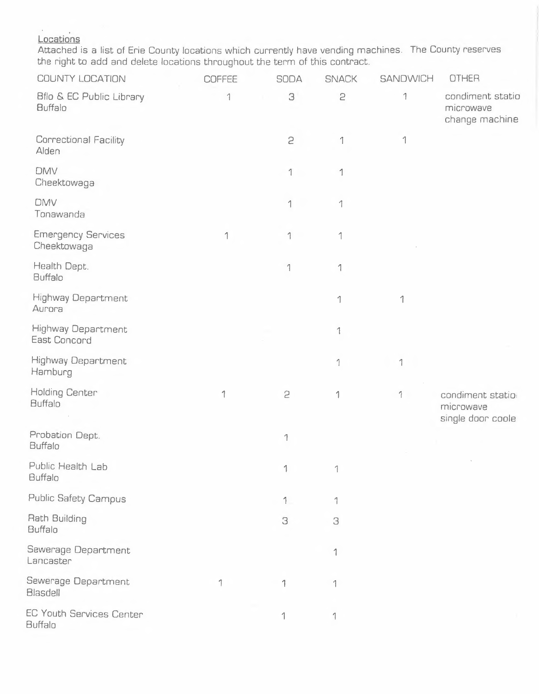## Locations

Attached is a list of Erie County locations which currently have vending machines. The County reserves the right to add and delete locations throughout the term of this contract.

| COUNTY LOCATION                                   | COFFEE        | <b>SODA</b>   | <b>SNACK</b>              | <b>SANDWICH</b>          | <b>OTHER</b>                                       |
|---------------------------------------------------|---------------|---------------|---------------------------|--------------------------|----------------------------------------------------|
| Bflo & EC Public Library<br><b>Buffalo</b>        | $\mathcal{I}$ | 3             | 2                         | 1                        | condiment statio<br>microwave<br>change machine    |
| Correctional Facility<br>Alden                    |               | 2             | 1                         | 1                        |                                                    |
| <b>DMV</b><br>Cheektowaga                         |               | 1             | 1                         |                          |                                                    |
| <b>DMV</b><br>Tonawanda                           |               | 1             | 1                         |                          |                                                    |
| <b>Emergency Services</b><br>Cheektowaga          | 1             | 1             | $\uparrow$                |                          |                                                    |
| Health Dept.<br><b>Buffalo</b>                    |               | $\mathcal{I}$ | 1                         |                          |                                                    |
| <b>Highway Department</b><br>Aurora               |               |               | 1                         | $\uparrow$               |                                                    |
| <b>Highway Department</b><br>East Concord         |               |               | $\mathbf 1$               |                          |                                                    |
| Highway Department<br>Hamburg                     |               |               | $\ensuremath{\mathsf{1}}$ | 1                        |                                                    |
| <b>Holding Center</b><br><b>Buffalo</b>           | 1             | 5             | 1                         | $\overline{\mathcal{L}}$ | condiment statio<br>microwave<br>single door coole |
| Probation Dept.<br>Buffalo                        |               | 1             |                           |                          |                                                    |
| Public Health Lab<br><b>Buffalo</b>               |               | 1             | 1                         |                          | $\mathcal{L}_{\mathcal{L}}$                        |
| <b>Public Safety Campus</b>                       |               | $\mathcal{I}$ | 1                         |                          |                                                    |
| Rath Building<br><b>Buffalo</b>                   |               | 3             | 3                         |                          |                                                    |
| Sewerage Department<br>Lancaster                  |               |               | 1                         |                          |                                                    |
| Sewerage Department<br>Blasdell                   | 1             | 1             | 1                         |                          |                                                    |
| <b>EC Youth Services Center</b><br><b>Buffalo</b> |               | 1             | 1                         |                          |                                                    |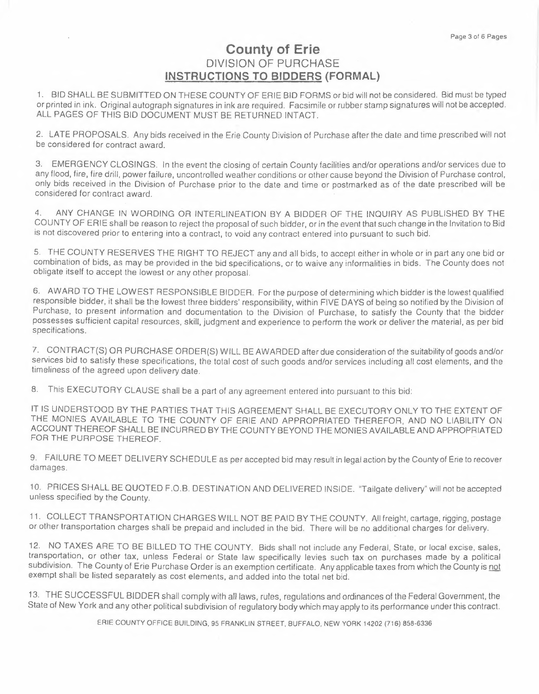## **County of Erie**  DIVISION OF PURCHASE **INSTRUCTIONS TO BIDDERS (FORMAL)**

1. BID SHALL BE SUBMITTED ON THESE COUNTY OF ERIE BID FORMS or bid will not be considered. Bid must be typed or printed in ink. Original autograph signatures in ink are required. Facsimile or rubber stamp signatures will not be accepted. ALL PAGES OF THIS BID DOCUMENT MUST BE RETURNED INTACT.

2. LATE PROPOSALS. Any bids received in the Erie County Division of Purchase after the date and time prescribed will not be considered for contract award.

3. EMERGENCY CLOSINGS. In the event the closing of certain County facilities and/or operations and/or services due to any flood, fire, fire drill, power failure, uncontrolled weather conditions or other cause beyond the Division of Purchase control, only bids received in the Division of Purchase prior to the date and time or postmarked as of the date prescribed will be considered for contract award.

4. ANY CHANGE IN WORDING OR INTERLINEATION BY A BIDDER OF THE INQUIRY AS PUBLISHED BY THE COUNTY OF ERIE shall be reason to reject the proposal of such bidder, or in the event that such change in the Invitation to Bid is not discovered prior to entering into a contract, to void any contract entered into pursuant to such bid.

5. THE COUNTY RESERVES THE RIGHT TO REJECT any and all bids, to accept either in whole or in part any one bid or combination of bids, as may be provided in the bid specifications, or to waive any informalities in bids. The County does not obligate itself to accept the lowest or any other proposal.

6. AWARD TO THE LOWEST RESPONSIBLE BIDDER. For the purpose of determining which bidder is the lowest qualified responsible bidder, it shall be the lowest three bidders' responsibility, within FIVE DAYS of being so notified by the Division of Purchase, to present information and documentation to the Division of Purchase, to satisfy the County that the bidder possesses sufficient capital resources, skill, judgment and experience to perform the work *or* deliver the material, as per bid specifications.

7. CONTRACT(S) OR PURCHASE ORDER(S) WILL BE AWARDED after due consideration of the suitability of goods and/or services bid to satisfy these specifications, the total cost of such goods and/or services including all cost elements, and the timeliness of the agreed upon delivery date.

This EXECUTORY CLAUSE shall be a part of any agreement entered into pursuant to this bid:

IT IS UNDERSTOOD BY THE PARTIES THAT THIS AGREEMENT SHALL BE EXECUTORY ONLY TO THE EXTENT OF THE MONIES AVAILABLE TO THE COUNTY OF ERIE AND APPROPRIATED THEREFOR, AND NO LIABILITY ON ACCOUNT THEREOF SHALL BE INCURRED BY THE COUNTY BEYOND THE MONIES AVAILABLE AND APPROPRIATED FOR THE PURPOSE THEREOF.

9. FAILURE TO MEET DELIVERY SCHEDULE as per accepted bid may result in legal action by the County of Erie to recover damages.

10. PRICES SHALL BE QUOTED F.O.B. DESTINATION AND DELIVERED INSIDE. "Tailgate delivery" will not be accepted unless specified by the County.

11. COLLECT TRANSPORTATION CHARGES WILL NOT BE PAID BY THE COUNTY. All freight, cartage, rigging, postage or other transportation charges shall be prepaid and included in the bid. There will be no additional charges for delivery.

12. NOT AXES ARE TO BE BILLED TO THE COUNTY. Bids shall not include any Federal, State, *or* local excise, sales, transportation, or other tax, unless Federal or State law specifically levies such tax on purchases made by a political subdivision. The County of Erie Purchase Order is an exemption certificate. Any applicable taxes from which the County is not exempt shall be listed separately as cost elements, and added into the total net bid.

13. THE SUCCESSFUL BIDDER shall comply with all laws, rules, regulations and ordinances of the Federal Government, the State of New York and any other political subdivision of regulatory body which may apply to its performance under this contract.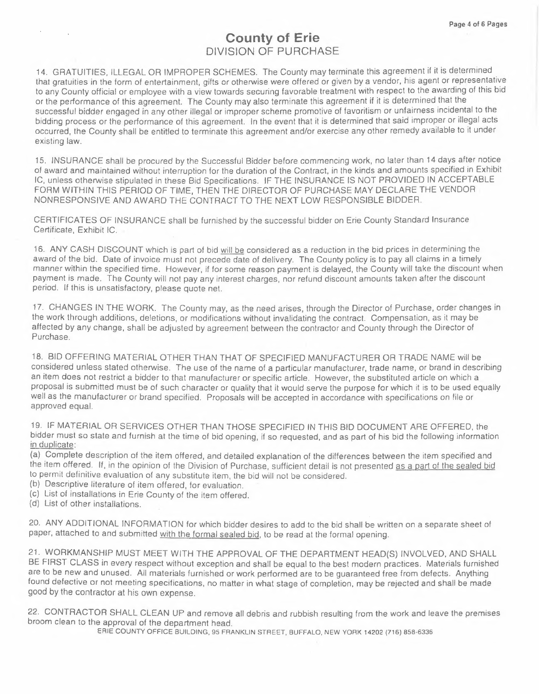## **County of Erie**  DIVISION OF PURCHASE

14. GRATUITIES, ILLEGAL OR IMPROPER SCHEMES. The County may terminate this agreement if it is determined that gratuities in the form *of* entertainment, gifts or otherwise were offered or given by a vendor, his agent or representative to any County official or employee with a view towards securing favorable treatment with respect to the awarding of this bid or the performance of this agreement. The County may also terminate this agreement if it is determined that the successful bidder engaged in any other illegal or improper scheme promotive of favoritism or unfairness incidental to the bidding process or the performance of this agreement. In the event that it is determined that said improper or illegal acts occurred, the County shall be entitled to terminate this agreement and/or exercise any other remedy available to it under existing law.

15. INSURANCE shall be procured by the Successful Bidder before commencing work, no later than 14 days after notice of award and maintained without interruption *for* the duration of the Contract, in the kinds and amounts specified in Exhibit IC, unless otherwise stipulated in these Bid Specifications. IF THE INSURANCE IS NOT PROVIDED IN ACCEPTABLE FORM WITHIN THIS PERIOD OF TIME, THEN THE DIRECTOR OF PURCHASE MAY DECLARE THE VENDOR NONRESPONSIVE AND AWARD THE CONTRACT TO THE NEXT LOW RESPONSIBLE BIDDER.

CERTIFICATES OF INSURANCE shall be furnished by the successful bidder on Erie County Standard Insurance Certificate, Exhibit IC.

16. **ANY** CASH DISCOUNT which is part of bid will be considered as a reduction in the bid prices in determining the award of the bid. Date of invoice must not precede date of delivery. The County policy is to pay all claims in a timely manner within the specified time. However, if for some reason payment is delayed, the County will take the discount when payment is made. The County will not pay any interest charges, nor refund discount amounts taken after the discount period. If this is unsatisfactory, please quote net.

17. CHANGES IN THE WORK. The County may, as the need arises, through the Director of Purchase, order changes in the work through additions, deletions, or modifications without invalidating the contract. Compensation, as it may be affected by any change, shall be adjusted by agreement between the contractor and County through the Director of Purchase.

18. BID OFFERING MATERIAL OTHER THAN THAT OF SPECIFIED MANUFACTURER OR TRADE NAME will be considered unless stated otherwise. The use of the name of a particular manufacturer, trade name, or brand in describing an item does not restrict a bidder to that manufacturer or specific article. However, the substituted article on which a proposal is submitted must be of such character or quality that it would serve the purpose for which it is to be used equally well as the manufacturer or brand specified. Proposals will be accepted in accordance with specifications on file or approved equal.

19. IF MATERIAL OR SERVICES OTHER THAN THOSE SPECIFIED IN THIS BID DOCUMENT ARE OFFERED, the bidder must so state and furnish at the time of bid opening, if so requested, and as part of his bid the following information in duplicate:

(a) Complete description of the item offered, and detailed explanation of the differences between the item specified and the item offered. If, in the opinion of the Division of Purchase, sufficient detail is not presented as a part *of* the sealed bid to permit definitive evaluation of any substitute item, the bid will not be considered.

- (b) Descriptive literature of item offered, for evaluation.
- (c) List of installations in Erie County of the item offered.
- (d) List of other installations.

 $\mathcal{F}(\mathcal{F})$  and  $\mathcal{F}(\mathcal{F})$  .

20. ANY ADDITIONAL INFORMATION for which bidder desires to add to the bid shall be written on a separate sheet of paper, attached to and submitted with the formal sealed bid, to be read at the formal opening.

21. WORKMANSHIP MUST MEET WITH THE APPROVAL OF THE DEPARTMENT HEAD(S) INVOLVED, AND SHALL BE FIRST CLASS in *every* respect without exception and shall be equal to the best modern practices. Materials furnished are to be new and unused. All materials furnished or work performed are to be guaranteed free from defects. Anything found defective or not meeting specifications, no matter in what stage of completion, may be rejected and shall be made good by the contractor at his own expense.

22. CONTRACTOR SHALL CLEAN UP and remove all debris and rubbish resulting from the work and leave the premises broom clean to the approval of the department head.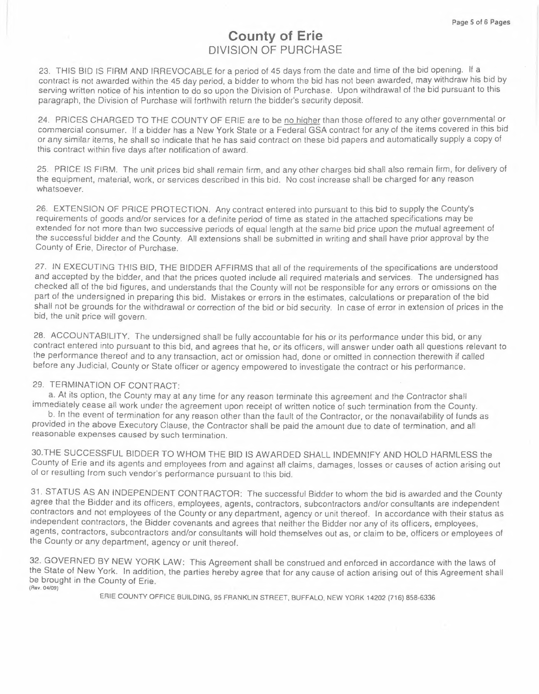## **County of Erie**  DIVISION OF PURCHASE

23. THIS BID IS FIRM AND IRREVOCABLE for a period of 45 days from the date and time of the bid opening. If a contract is not awarded within the 45 day period, a bidder to whom the bid has not been awarded, may withdraw his bid by serving written notice of his intention to do so upon the Division of Purchase. Upon withdrawal of the bid pursuant to this paragraph, the Division of Purchase will forthwith return the bidder's security deposit.

24. PRICES CHARGED TO THE COUNTY OF ERIE are to be no higher than those offered to any other governmental or commercial consumer. If a bidder has a New York State or a Federal GSA contract for any of the items covered in this bid or any similar items, he shall so indicate that he has said contract on these bid papers and automatically supply a copy of this contract within five days after notification of award.

25. PRICE IS FIRM. The unit prices bid shall remain firm, and any other charges bid shall also remain firm, for delivery of the equipment, material, work, *or* services described in this bid. No cost increase shall be charged for any reason whatsoever.

26. EXTENSION OF PRICE PROTECTION. Any contract entered into pursuant to this bid to supply the County's requirements of goods and/or services for a definite period of time as stated in the attached specifications may be extended for not more than two successive periods of equal length at the same bid price upon the mutual agreement of the successful bidder and the County. All extensions shall be submitted in writing and shall have prior approval by the County of Erie, Director of Purchase.

27. IN EXECUTING THIS BID, THE BIDDER AFFIRMS that all of the requirements of the specifications are understood and accepted by the bidder, and that the prices quoted include all required materials and services. The undersigned has checked all of the bid figures, and understands that the County will not be responsible for any errors or omissions on the part of the undersigned in preparing this bid. Mistakes or errors in the estimates, calculations or preparation of the bid shall not be grounds *tor* the withdrawal or correction of the bid or bid security. In case of error in extension of prices in the bid, the unit price will govern.

28. ACCOUNT ABILITY. The undersigned shall be fully accountable for his or its performance under this bid, *or* any contract entered into pursuant to this bid, and agrees that he, or its officers, will answer under oath all questions relevant to the performance thereof and to any transaction, act or omission had, done or omitted in connection therewith if called before any Judicial, County or State officer or agency empowered to investigate the contract or his performance.

#### 29. TERMINATION OF CONTRACT:

a. **At** its option, the County may at any time for any reason terminate this agreement and the Contractor shall immediately cease all work under the agreement upon receipt of written notice of such termination from the County.

b. In the event of termination for any reason other than the fault of the Contractor, or the nonavailability of funds as provided in the above Executory Clause, the Contractor shall be paid the amount due to date of termination, and all reasonable expenses caused by such termination.

30.THE SUCCESSFUL BIDDER TO WHOM THE BID IS AWARDED SHALL INDEMNIFY AND HOLD HARMLESS the County of Erie and its agents and employees from and against all claims, damages, losses or causes of action arising out of or resulting from such vendor's performance pursuant to this bid.

31. STATUS AS AN INDEPENDENT CONTRACTOR: The successful Bidder to whom the bid is awarded and the County agree that the Bidder and its officers, employees, agents, contractors, subcontractors and/or consultants are independent contractors and not employees of the County or any department, agency or unit thereof. In accordance with their status as independent contractors, the Bidder covenants and agrees that neither the Bidder nor any of its officers, employees, agents, contractors, subcontractors and/or consultants will hold themselves out as, *or* claim to be, officers or employees of the County or any department, agency or unit thereof.

32. GOVERNED BY NEW YORK LAW: This Agreement shall be construed and enforced in accordance with the laws of the State of New York. In addition, the parties hereby agree that tor any cause of action arising out of this Agreement shall be brought in the County of Erie. **(Rev.** 04/09)